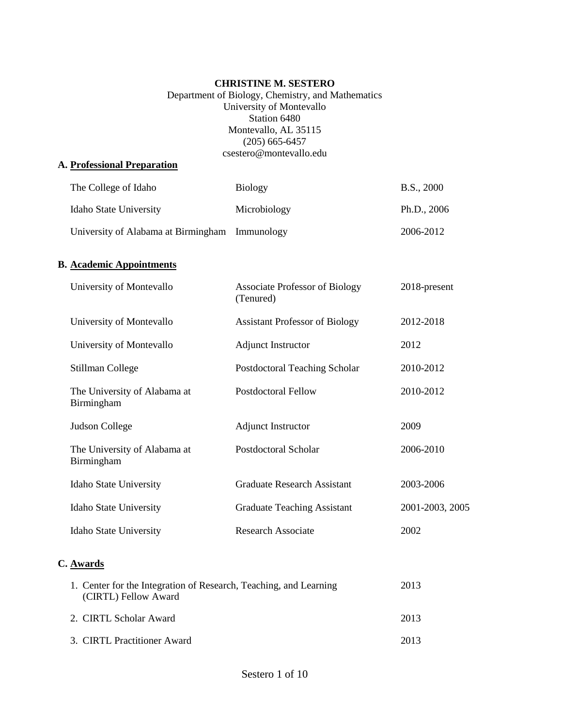### **CHRISTINE M. SESTERO**

### Department of Biology, Chemistry, and Mathematics University of Montevallo Station 6480 Montevallo, AL 35115 (205) 665-6457 csestero@montevallo.edu

#### **A. Professional Preparation**

| The College of Idaho                           | <b>Biology</b> | B.S., 2000    |
|------------------------------------------------|----------------|---------------|
| <b>Idaho State University</b>                  | Microbiology   | Ph.D., $2006$ |
| University of Alabama at Birmingham Immunology |                | 2006-2012     |

## **B. Academic Appointments**

| University of Montevallo                                                                    | <b>Associate Professor of Biology</b><br>(Tenured) | 2018-present    |
|---------------------------------------------------------------------------------------------|----------------------------------------------------|-----------------|
| University of Montevallo                                                                    | <b>Assistant Professor of Biology</b>              | 2012-2018       |
| University of Montevallo                                                                    | <b>Adjunct Instructor</b>                          | 2012            |
| Stillman College                                                                            | Postdoctoral Teaching Scholar                      | 2010-2012       |
| The University of Alabama at<br>Birmingham                                                  | <b>Postdoctoral Fellow</b>                         | 2010-2012       |
| Judson College                                                                              | <b>Adjunct Instructor</b>                          | 2009            |
| The University of Alabama at<br>Birmingham                                                  | Postdoctoral Scholar                               | 2006-2010       |
| Idaho State University                                                                      | <b>Graduate Research Assistant</b>                 | 2003-2006       |
| Idaho State University                                                                      | <b>Graduate Teaching Assistant</b>                 | 2001-2003, 2005 |
| <b>Idaho State University</b>                                                               | <b>Research Associate</b>                          | 2002            |
| C. Awards                                                                                   |                                                    |                 |
| 1. Center for the Integration of Research, Teaching, and Learning<br>$(CIRTI)$ Fellow Award |                                                    | 2013            |

| $\sum_{i=1}^{n}$            |      |
|-----------------------------|------|
| 2. CIRTL Scholar Award      | 2013 |
| 3. CIRTL Practitioner Award | 2013 |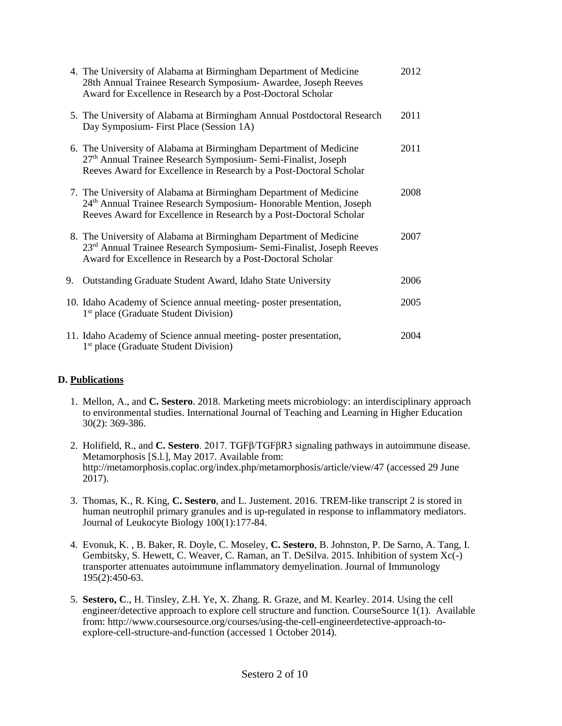|    | 4. The University of Alabama at Birmingham Department of Medicine<br>28th Annual Trainee Research Symposium- Awardee, Joseph Reeves<br>Award for Excellence in Research by a Post-Doctoral Scholar                       | 2012 |
|----|--------------------------------------------------------------------------------------------------------------------------------------------------------------------------------------------------------------------------|------|
|    | 5. The University of Alabama at Birmingham Annual Postdoctoral Research<br>Day Symposium-First Place (Session 1A)                                                                                                        | 2011 |
|    | 6. The University of Alabama at Birmingham Department of Medicine<br>27 <sup>th</sup> Annual Trainee Research Symposium- Semi-Finalist, Joseph<br>Reeves Award for Excellence in Research by a Post-Doctoral Scholar     | 2011 |
|    | 7. The University of Alabama at Birmingham Department of Medicine<br>24 <sup>th</sup> Annual Trainee Research Symposium- Honorable Mention, Joseph<br>Reeves Award for Excellence in Research by a Post-Doctoral Scholar | 2008 |
|    | 8. The University of Alabama at Birmingham Department of Medicine<br>23 <sup>rd</sup> Annual Trainee Research Symposium- Semi-Finalist, Joseph Reeves<br>Award for Excellence in Research by a Post-Doctoral Scholar     | 2007 |
| 9. | Outstanding Graduate Student Award, Idaho State University                                                                                                                                                               | 2006 |
|    | 10. Idaho Academy of Science annual meeting-poster presentation,<br>1 <sup>st</sup> place (Graduate Student Division)                                                                                                    | 2005 |
|    | 11. Idaho Academy of Science annual meeting-poster presentation,<br>1 <sup>st</sup> place (Graduate Student Division)                                                                                                    | 2004 |

## **D. Publications**

- 1. Mellon, A., and **C. Sestero**. 2018. Marketing meets microbiology: an interdisciplinary approach to environmental studies. International Journal of Teaching and Learning in Higher Education 30(2): 369-386.
- 2. Holifield, R., and **C. Sestero**. 2017. TGFβ/TGFβR3 signaling pathways in autoimmune disease. Metamorphosis [S.l.], May 2017. Available from: http://metamorphosis.coplac.org/index.php/metamorphosis/article/view/47 (accessed 29 June  $2017$ ).
- 3. Thomas, K., R. King, **C. Sestero**, and L. Justement. 2016. TREM-like transcript 2 is stored in human neutrophil primary granules and is up-regulated in response to inflammatory mediators. Journal of Leukocyte Biology 100(1):177-84.
- 4. Evonuk, K. , B. Baker, R. Doyle, C. Moseley, **C. Sestero**, B. Johnston, P. De Sarno, A. Tang, I. Gembitsky, S. Hewett, C. Weaver, C. Raman, an T. DeSilva. 2015. Inhibition of system Xc(-) transporter attenuates autoimmune inflammatory demyelination. Journal of Immunology 195(2):450-63.
- 5. **Sestero, C**., H. Tinsley, Z.H. Ye, X. Zhang. R. Graze, and M. Kearley. 2014. Using the cell engineer/detective approach to explore cell structure and function. CourseSource 1(1). Available from: http://www.coursesource.org/courses/using-the-cell-engineerdetective-approach-toexplore-cell-structure-and-function (accessed 1 October 2014).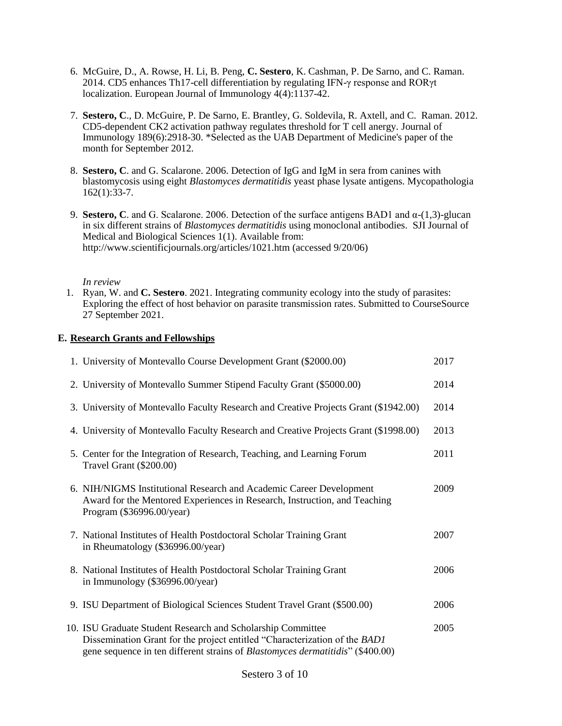- 6. McGuire, D., A. Rowse, H. Li, B. Peng, **C. Sestero**, K. Cashman, P. De Sarno, and C. Raman. 2014. CD5 enhances Th17-cell differentiation by regulating IFN-γ response and RORγt localization. European Journal of Immunology 4(4):1137-42.
- 7. **Sestero, C**., D. McGuire, P. De Sarno, E. Brantley, G. Soldevila, R. Axtell, and C. Raman. 2012. CD5-dependent CK2 activation pathway regulates threshold for T cell anergy. Journal of Immunology 189(6):2918-30. \*Selected as the UAB Department of Medicine's paper of the month for September 2012.
- 8. **Sestero, C**. and G. Scalarone. 2006. Detection of IgG and IgM in sera from canines with blastomycosis using eight *Blastomyces dermatitidis* yeast phase lysate antigens. Mycopathologia 162(1):33-7.
- 9. **Sestero, C**. and G. Scalarone. 2006. Detection of the surface antigens BAD1 and α-(1,3)-glucan in six different strains of *Blastomyces dermatitidis* using monoclonal antibodies. SJI Journal of Medical and Biological Sciences 1(1). Available from: http://www.scientificjournals.org/articles/1021.htm (accessed 9/20/06)

### *In review*

1. Ryan, W. and **C. Sestero**. 2021. Integrating community ecology into the study of parasites: Exploring the effect of host behavior on parasite transmission rates. Submitted to CourseSource 27 September 2021.

### **E. Research Grants and Fellowships**

| 1. University of Montevallo Course Development Grant (\$2000.00)                                                                                                                                                                    | 2017 |
|-------------------------------------------------------------------------------------------------------------------------------------------------------------------------------------------------------------------------------------|------|
| 2. University of Montevallo Summer Stipend Faculty Grant (\$5000.00)                                                                                                                                                                | 2014 |
| 3. University of Montevallo Faculty Research and Creative Projects Grant (\$1942.00)                                                                                                                                                | 2014 |
| 4. University of Montevallo Faculty Research and Creative Projects Grant (\$1998.00)                                                                                                                                                | 2013 |
| 5. Center for the Integration of Research, Teaching, and Learning Forum<br>Travel Grant (\$200.00)                                                                                                                                  | 2011 |
| 6. NIH/NIGMS Institutional Research and Academic Career Development<br>Award for the Mentored Experiences in Research, Instruction, and Teaching<br>Program (\$36996.00/year)                                                       | 2009 |
| 7. National Institutes of Health Postdoctoral Scholar Training Grant<br>in Rheumatology (\$36996.00/year)                                                                                                                           | 2007 |
| 8. National Institutes of Health Postdoctoral Scholar Training Grant<br>in Immunology (\$36996.00/year)                                                                                                                             | 2006 |
| 9. ISU Department of Biological Sciences Student Travel Grant (\$500.00)                                                                                                                                                            | 2006 |
| 10. ISU Graduate Student Research and Scholarship Committee<br>Dissemination Grant for the project entitled "Characterization of the BAD1<br>gene sequence in ten different strains of <i>Blastomyces dermatitidis</i> " (\$400.00) | 2005 |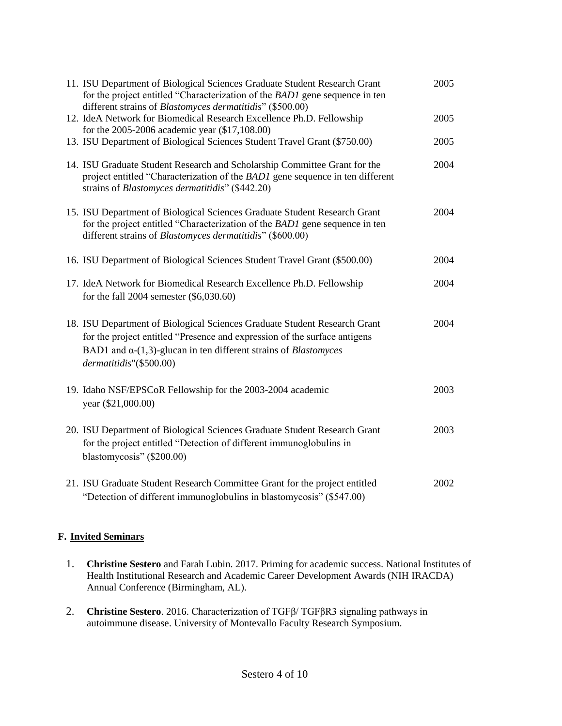| 11. ISU Department of Biological Sciences Graduate Student Research Grant<br>for the project entitled "Characterization of the BAD1 gene sequence in ten<br>different strains of <i>Blastomyces dermatitidis</i> " (\$500.00)                                       | 2005 |
|---------------------------------------------------------------------------------------------------------------------------------------------------------------------------------------------------------------------------------------------------------------------|------|
| 12. IdeA Network for Biomedical Research Excellence Ph.D. Fellowship<br>for the 2005-2006 academic year (\$17,108.00)                                                                                                                                               | 2005 |
| 13. ISU Department of Biological Sciences Student Travel Grant (\$750.00)                                                                                                                                                                                           | 2005 |
| 14. ISU Graduate Student Research and Scholarship Committee Grant for the<br>project entitled "Characterization of the BAD1 gene sequence in ten different<br>strains of <i>Blastomyces dermatitidis</i> " (\$442.20)                                               | 2004 |
| 15. ISU Department of Biological Sciences Graduate Student Research Grant<br>for the project entitled "Characterization of the BAD1 gene sequence in ten<br>different strains of <i>Blastomyces dermatitidis</i> " (\$600.00)                                       | 2004 |
| 16. ISU Department of Biological Sciences Student Travel Grant (\$500.00)                                                                                                                                                                                           | 2004 |
| 17. IdeA Network for Biomedical Research Excellence Ph.D. Fellowship<br>for the fall 2004 semester $(\$6,030.60)$                                                                                                                                                   | 2004 |
| 18. ISU Department of Biological Sciences Graduate Student Research Grant<br>for the project entitled "Presence and expression of the surface antigens<br>BAD1 and $\alpha$ -(1,3)-glucan in ten different strains of <i>Blastomyces</i><br>dermatitidis"(\$500.00) | 2004 |
| 19. Idaho NSF/EPSCoR Fellowship for the 2003-2004 academic<br>year (\$21,000.00)                                                                                                                                                                                    | 2003 |
| 20. ISU Department of Biological Sciences Graduate Student Research Grant<br>for the project entitled "Detection of different immunoglobulins in<br>blastomycosis" (\$200.00)                                                                                       | 2003 |
| 21. ISU Graduate Student Research Committee Grant for the project entitled<br>"Detection of different immunoglobulins in blastomycosis" (\$547.00)                                                                                                                  | 2002 |

# **F. Invited Seminars**

- 1. **Christine Sestero** and Farah Lubin. 2017. Priming for academic success. National Institutes of Health Institutional Research and Academic Career Development Awards (NIH IRACDA) Annual Conference (Birmingham, AL).
- 2. **Christine Sestero**. 2016. Characterization of TGFβ/ TGFβR3 signaling pathways in autoimmune disease. University of Montevallo Faculty Research Symposium.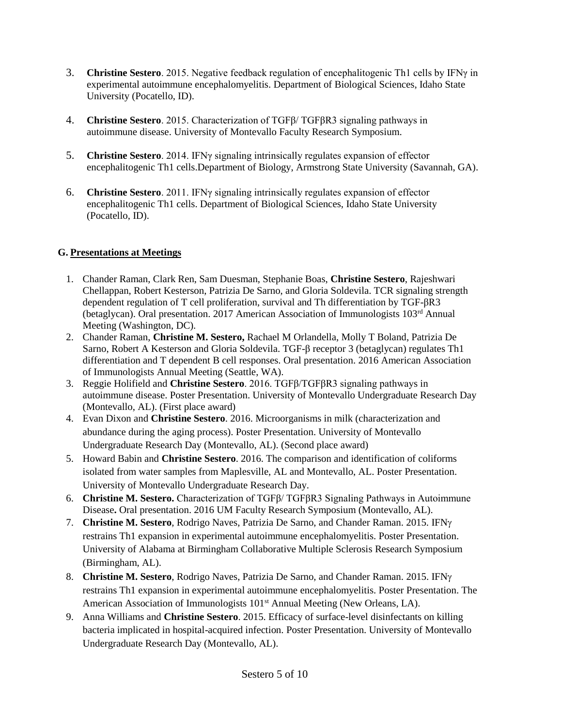- 3. **Christine Sestero**. 2015. Negative feedback regulation of encephalitogenic Th1 cells by IFNγ in experimental autoimmune encephalomyelitis. Department of Biological Sciences, Idaho State University (Pocatello, ID).
- 4. **Christine Sestero**. 2015. Characterization of TGFβ/ TGFβR3 signaling pathways in autoimmune disease. University of Montevallo Faculty Research Symposium.
- 5. **Christine Sestero**. 2014. IFNγ signaling intrinsically regulates expansion of effector encephalitogenic Th1 cells.Department of Biology, Armstrong State University (Savannah, GA).
- 6. **Christine Sestero**. 2011. IFNγ signaling intrinsically regulates expansion of effector encephalitogenic Th1 cells. Department of Biological Sciences, Idaho State University (Pocatello, ID).

## **G. Presentations at Meetings**

- 1. Chander Raman, Clark Ren, Sam Duesman, Stephanie Boas, **Christine Sestero**, Rajeshwari Chellappan, Robert Kesterson, Patrizia De Sarno, and Gloria Soldevila. TCR signaling strength dependent regulation of T cell proliferation, survival and Th differentiation by TGF-βR3 (betaglycan). Oral presentation. 2017 American Association of Immunologists 103rd Annual Meeting (Washington, DC).
- 2. Chander Raman, **Christine M. Sestero,** Rachael M Orlandella, Molly T Boland, Patrizia De Sarno, Robert A Kesterson and Gloria Soldevila. TGF-β receptor 3 (betaglycan) regulates Th1 differentiation and T dependent B cell responses. Oral presentation. 2016 American Association of Immunologists Annual Meeting (Seattle, WA).
- 3. Reggie Holifield and **Christine Sestero**. 2016. TGFβ/TGFβR3 signaling pathways in autoimmune disease. Poster Presentation. University of Montevallo Undergraduate Research Day (Montevallo, AL). (First place award)
- 4. Evan Dixon and **Christine Sestero**. 2016. Microorganisms in milk (characterization and abundance during the aging process). Poster Presentation. University of Montevallo Undergraduate Research Day (Montevallo, AL). (Second place award)
- 5. Howard Babin and **Christine Sestero**. 2016. The comparison and identification of coliforms isolated from water samples from Maplesville, AL and Montevallo, AL. Poster Presentation. University of Montevallo Undergraduate Research Day.
- 6. **Christine M. Sestero.** Characterization of TGFβ/ TGFβR3 Signaling Pathways in Autoimmune Disease**.** Oral presentation. 2016 UM Faculty Research Symposium (Montevallo, AL).
- 7. **Christine M. Sestero**, Rodrigo Naves, Patrizia De Sarno, and Chander Raman. 2015. IFN restrains Th1 expansion in experimental autoimmune encephalomyelitis. Poster Presentation. University of Alabama at Birmingham Collaborative Multiple Sclerosis Research Symposium (Birmingham, AL).
- 8. **Christine M. Sestero**, Rodrigo Naves, Patrizia De Sarno, and Chander Raman. 2015. IFN restrains Th1 expansion in experimental autoimmune encephalomyelitis. Poster Presentation. The American Association of Immunologists 101<sup>st</sup> Annual Meeting (New Orleans, LA).
- 9. Anna Williams and **Christine Sestero**. 2015. Efficacy of surface-level disinfectants on killing bacteria implicated in hospital-acquired infection. Poster Presentation. University of Montevallo Undergraduate Research Day (Montevallo, AL).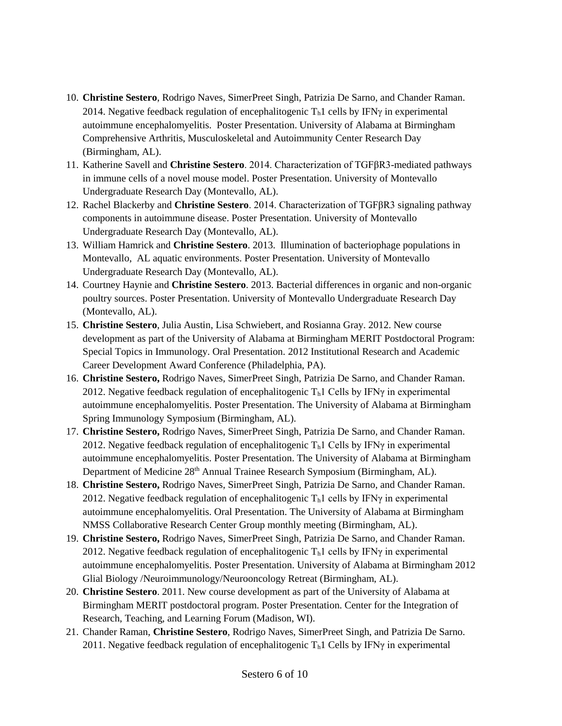- 10. **Christine Sestero**, Rodrigo Naves, SimerPreet Singh, Patrizia De Sarno, and Chander Raman. 2014. Negative feedback regulation of encephalitogenic  $T<sub>h</sub>1$  cells by IFN $\gamma$  in experimental autoimmune encephalomyelitis. Poster Presentation. University of Alabama at Birmingham Comprehensive Arthritis, Musculoskeletal and Autoimmunity Center Research Day (Birmingham, AL).
- 11. Katherine Savell and **Christine Sestero**. 2014. Characterization of TGFβR3-mediated pathways in immune cells of a novel mouse model. Poster Presentation. University of Montevallo Undergraduate Research Day (Montevallo, AL).
- 12. Rachel Blackerby and **Christine Sestero**. 2014. Characterization of TGFβR3 signaling pathway components in autoimmune disease. Poster Presentation. University of Montevallo Undergraduate Research Day (Montevallo, AL).
- 13. William Hamrick and **Christine Sestero**. 2013. Illumination of bacteriophage populations in Montevallo, AL aquatic environments. Poster Presentation. University of Montevallo Undergraduate Research Day (Montevallo, AL).
- 14. Courtney Haynie and **Christine Sestero**. 2013. Bacterial differences in organic and non-organic poultry sources. Poster Presentation. University of Montevallo Undergraduate Research Day (Montevallo, AL).
- 15. **Christine Sestero**, Julia Austin, Lisa Schwiebert, and Rosianna Gray. 2012. New course development as part of the University of Alabama at Birmingham MERIT Postdoctoral Program: Special Topics in Immunology. Oral Presentation. 2012 Institutional Research and Academic Career Development Award Conference (Philadelphia, PA).
- 16. **Christine Sestero,** Rodrigo Naves, SimerPreet Singh, Patrizia De Sarno, and Chander Raman. 2012. Negative feedback regulation of encephalitogenic  $T<sub>h</sub>1$  Cells by IFN $\gamma$  in experimental autoimmune encephalomyelitis. Poster Presentation. The University of Alabama at Birmingham Spring Immunology Symposium (Birmingham, AL).
- 17. **Christine Sestero,** Rodrigo Naves, SimerPreet Singh, Patrizia De Sarno, and Chander Raman. 2012. Negative feedback regulation of encephalitogenic  $T<sub>h</sub>1$  Cells by IFN $\gamma$  in experimental autoimmune encephalomyelitis. Poster Presentation. The University of Alabama at Birmingham Department of Medicine 28th Annual Trainee Research Symposium (Birmingham, AL).
- 18. **Christine Sestero,** Rodrigo Naves, SimerPreet Singh, Patrizia De Sarno, and Chander Raman. 2012. Negative feedback regulation of encephalitogenic  $T<sub>h</sub>1$  cells by IFN<sub>Y</sub> in experimental autoimmune encephalomyelitis. Oral Presentation. The University of Alabama at Birmingham NMSS Collaborative Research Center Group monthly meeting (Birmingham, AL).
- 19. **Christine Sestero,** Rodrigo Naves, SimerPreet Singh, Patrizia De Sarno, and Chander Raman. 2012. Negative feedback regulation of encephalitogenic  $T<sub>h</sub>1$  cells by IFN $\gamma$  in experimental autoimmune encephalomyelitis. Poster Presentation. University of Alabama at Birmingham 2012 Glial Biology /Neuroimmunology/Neurooncology Retreat (Birmingham, AL).
- 20. **Christine Sestero**. 2011. New course development as part of the University of Alabama at Birmingham MERIT postdoctoral program. Poster Presentation. Center for the Integration of Research, Teaching, and Learning Forum (Madison, WI).
- 21. Chander Raman, **Christine Sestero**, Rodrigo Naves, SimerPreet Singh, and Patrizia De Sarno. 2011. Negative feedback regulation of encephalitogenic  $T<sub>h</sub>1$  Cells by IFN $\gamma$  in experimental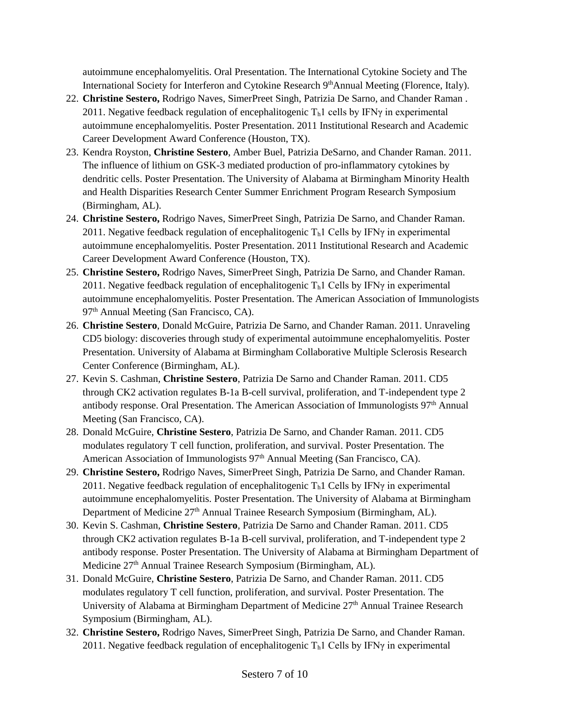autoimmune encephalomyelitis. Oral Presentation. The International Cytokine Society and The International Society for Interferon and Cytokine Research 9<sup>th</sup>Annual Meeting (Florence, Italy).

- 22. **Christine Sestero,** Rodrigo Naves, SimerPreet Singh, Patrizia De Sarno, and Chander Raman . 2011. Negative feedback regulation of encephalitogenic  $T<sub>h</sub>1$  cells by IFN<sub>Y</sub> in experimental autoimmune encephalomyelitis. Poster Presentation. 2011 Institutional Research and Academic Career Development Award Conference (Houston, TX).
- 23. Kendra Royston, **Christine Sestero**, Amber Buel, Patrizia DeSarno, and Chander Raman. 2011. The influence of lithium on GSK-3 mediated production of pro-inflammatory cytokines by dendritic cells. Poster Presentation. The University of Alabama at Birmingham Minority Health and Health Disparities Research Center Summer Enrichment Program Research Symposium (Birmingham, AL).
- 24. **Christine Sestero,** Rodrigo Naves, SimerPreet Singh, Patrizia De Sarno, and Chander Raman. 2011. Negative feedback regulation of encephalitogenic  $T<sub>h</sub>1$  Cells by IFN $\gamma$  in experimental autoimmune encephalomyelitis. Poster Presentation. 2011 Institutional Research and Academic Career Development Award Conference (Houston, TX).
- 25. **Christine Sestero,** Rodrigo Naves, SimerPreet Singh, Patrizia De Sarno, and Chander Raman. 2011. Negative feedback regulation of encephalitogenic  $T<sub>h</sub>1$  Cells by IFN $\gamma$  in experimental autoimmune encephalomyelitis. Poster Presentation. The American Association of Immunologists 97<sup>th</sup> Annual Meeting (San Francisco, CA).
- 26. **Christine Sestero**, Donald McGuire, Patrizia De Sarno, and Chander Raman. 2011. Unraveling CD5 biology: discoveries through study of experimental autoimmune encephalomyelitis. Poster Presentation. University of Alabama at Birmingham Collaborative Multiple Sclerosis Research Center Conference (Birmingham, AL).
- 27. Kevin S. Cashman, **Christine Sestero**, Patrizia De Sarno and Chander Raman. 2011. CD5 through CK2 activation regulates B-1a B-cell survival, proliferation, and T-independent type 2 antibody response. Oral Presentation. The American Association of Immunologists 97<sup>th</sup> Annual Meeting (San Francisco, CA).
- 28. Donald McGuire, **Christine Sestero**, Patrizia De Sarno, and Chander Raman. 2011. CD5 modulates regulatory T cell function, proliferation, and survival. Poster Presentation. The American Association of Immunologists  $97<sup>th</sup>$  Annual Meeting (San Francisco, CA).
- 29. **Christine Sestero,** Rodrigo Naves, SimerPreet Singh, Patrizia De Sarno, and Chander Raman. 2011. Negative feedback regulation of encephalitogenic  $T<sub>h</sub>1$  Cells by IFN<sub>Y</sub> in experimental autoimmune encephalomyelitis. Poster Presentation. The University of Alabama at Birmingham Department of Medicine 27<sup>th</sup> Annual Trainee Research Symposium (Birmingham, AL).
- 30. Kevin S. Cashman, **Christine Sestero**, Patrizia De Sarno and Chander Raman. 2011. CD5 through CK2 activation regulates B-1a B-cell survival, proliferation, and T-independent type 2 antibody response. Poster Presentation. The University of Alabama at Birmingham Department of Medicine 27<sup>th</sup> Annual Trainee Research Symposium (Birmingham, AL).
- 31. Donald McGuire, **Christine Sestero**, Patrizia De Sarno, and Chander Raman. 2011. CD5 modulates regulatory T cell function, proliferation, and survival. Poster Presentation. The University of Alabama at Birmingham Department of Medicine  $27<sup>th</sup>$  Annual Trainee Research Symposium (Birmingham, AL).
- 32. **Christine Sestero,** Rodrigo Naves, SimerPreet Singh, Patrizia De Sarno, and Chander Raman. 2011. Negative feedback regulation of encephalitogenic  $T<sub>h</sub>1$  Cells by IFN $\gamma$  in experimental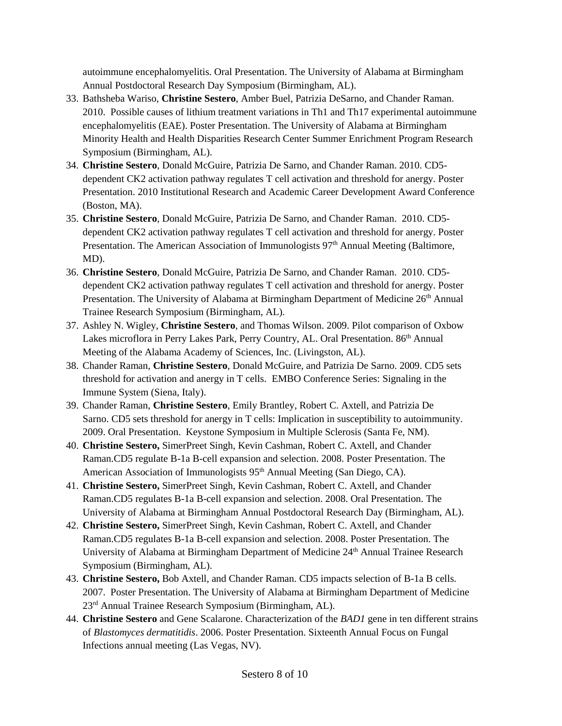autoimmune encephalomyelitis. Oral Presentation. The University of Alabama at Birmingham Annual Postdoctoral Research Day Symposium (Birmingham, AL).

- 33. Bathsheba Wariso, **Christine Sestero**, Amber Buel, Patrizia DeSarno, and Chander Raman. 2010. Possible causes of lithium treatment variations in Th1 and Th17 experimental autoimmune encephalomyelitis (EAE). Poster Presentation. The University of Alabama at Birmingham Minority Health and Health Disparities Research Center Summer Enrichment Program Research Symposium (Birmingham, AL).
- 34. **Christine Sestero**, Donald McGuire, Patrizia De Sarno, and Chander Raman. 2010. CD5 dependent CK2 activation pathway regulates T cell activation and threshold for anergy. Poster Presentation. 2010 Institutional Research and Academic Career Development Award Conference (Boston, MA).
- 35. **Christine Sestero**, Donald McGuire, Patrizia De Sarno, and Chander Raman. 2010. CD5 dependent CK2 activation pathway regulates T cell activation and threshold for anergy. Poster Presentation. The American Association of Immunologists 97<sup>th</sup> Annual Meeting (Baltimore, MD).
- 36. **Christine Sestero**, Donald McGuire, Patrizia De Sarno, and Chander Raman. 2010. CD5 dependent CK2 activation pathway regulates T cell activation and threshold for anergy. Poster Presentation. The University of Alabama at Birmingham Department of Medicine 26<sup>th</sup> Annual Trainee Research Symposium (Birmingham, AL).
- 37. Ashley N. Wigley, **Christine Sestero**, and Thomas Wilson. 2009. Pilot comparison of Oxbow Lakes microflora in Perry Lakes Park, Perry Country, AL. Oral Presentation. 86<sup>th</sup> Annual Meeting of the Alabama Academy of Sciences, Inc. (Livingston, AL).
- 38. Chander Raman, **Christine Sestero**, Donald McGuire, and Patrizia De Sarno. 2009. CD5 sets threshold for activation and anergy in T cells. EMBO Conference Series: Signaling in the Immune System (Siena, Italy).
- 39. Chander Raman, **Christine Sestero**, Emily Brantley, Robert C. Axtell, and Patrizia De Sarno. CD5 sets threshold for anergy in T cells: Implication in susceptibility to autoimmunity. 2009. Oral Presentation. Keystone Symposium in Multiple Sclerosis (Santa Fe, NM).
- 40. **Christine Sestero,** SimerPreet Singh, Kevin Cashman, Robert C. Axtell, and Chander Raman.CD5 regulate B-1a B-cell expansion and selection. 2008. Poster Presentation. The American Association of Immunologists 95<sup>th</sup> Annual Meeting (San Diego, CA).
- 41. **Christine Sestero,** SimerPreet Singh, Kevin Cashman, Robert C. Axtell, and Chander Raman.CD5 regulates B-1a B-cell expansion and selection. 2008. Oral Presentation. The University of Alabama at Birmingham Annual Postdoctoral Research Day (Birmingham, AL).
- 42. **Christine Sestero,** SimerPreet Singh, Kevin Cashman, Robert C. Axtell, and Chander Raman.CD5 regulates B-1a B-cell expansion and selection. 2008. Poster Presentation. The University of Alabama at Birmingham Department of Medicine 24<sup>th</sup> Annual Trainee Research Symposium (Birmingham, AL).
- 43. **Christine Sestero,** Bob Axtell, and Chander Raman. CD5 impacts selection of B-1a B cells. 2007. Poster Presentation. The University of Alabama at Birmingham Department of Medicine 23rd Annual Trainee Research Symposium (Birmingham, AL).
- 44. **Christine Sestero** and Gene Scalarone. Characterization of the *BAD1* gene in ten different strains of *Blastomyces dermatitidis*. 2006. Poster Presentation. Sixteenth Annual Focus on Fungal Infections annual meeting (Las Vegas, NV).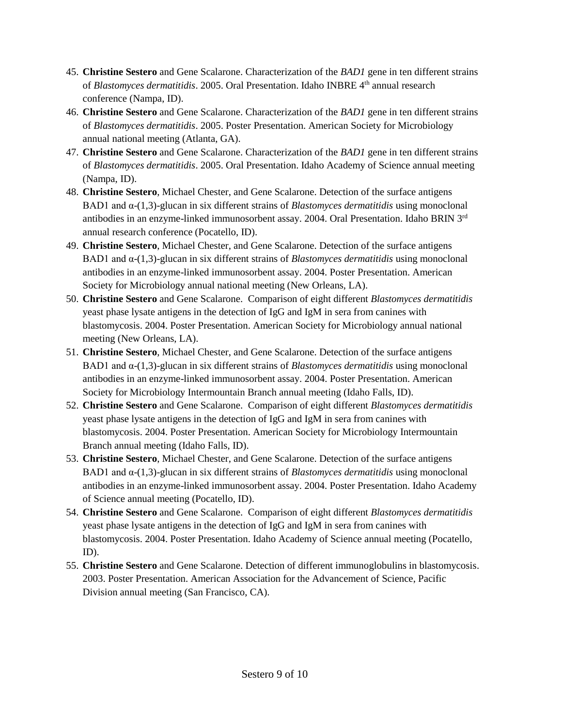- 45. **Christine Sestero** and Gene Scalarone. Characterization of the *BAD1* gene in ten different strains of *Blastomyces dermatitidis*. 2005. Oral Presentation. Idaho INBRE 4th annual research conference (Nampa, ID).
- 46. **Christine Sestero** and Gene Scalarone. Characterization of the *BAD1* gene in ten different strains of *Blastomyces dermatitidis*. 2005. Poster Presentation. American Society for Microbiology annual national meeting (Atlanta, GA).
- 47. **Christine Sestero** and Gene Scalarone. Characterization of the *BAD1* gene in ten different strains of *Blastomyces dermatitidis*. 2005. Oral Presentation. Idaho Academy of Science annual meeting (Nampa, ID).
- 48. **Christine Sestero**, Michael Chester, and Gene Scalarone. Detection of the surface antigens BAD1 and α-(1,3)-glucan in six different strains of *Blastomyces dermatitidis* using monoclonal antibodies in an enzyme-linked immunosorbent assay. 2004. Oral Presentation. Idaho BRIN 3rd annual research conference (Pocatello, ID).
- 49. **Christine Sestero**, Michael Chester, and Gene Scalarone. Detection of the surface antigens BAD1 and α-(1,3)-glucan in six different strains of *Blastomyces dermatitidis* using monoclonal antibodies in an enzyme-linked immunosorbent assay. 2004. Poster Presentation. American Society for Microbiology annual national meeting (New Orleans, LA).
- 50. **Christine Sestero** and Gene Scalarone. Comparison of eight different *Blastomyces dermatitidis*  yeast phase lysate antigens in the detection of IgG and IgM in sera from canines with blastomycosis. 2004. Poster Presentation. American Society for Microbiology annual national meeting (New Orleans, LA).
- 51. **Christine Sestero**, Michael Chester, and Gene Scalarone. Detection of the surface antigens BAD1 and α-(1,3)-glucan in six different strains of *Blastomyces dermatitidis* using monoclonal antibodies in an enzyme-linked immunosorbent assay. 2004. Poster Presentation. American Society for Microbiology Intermountain Branch annual meeting (Idaho Falls, ID).
- 52. **Christine Sestero** and Gene Scalarone. Comparison of eight different *Blastomyces dermatitidis*  yeast phase lysate antigens in the detection of IgG and IgM in sera from canines with blastomycosis. 2004. Poster Presentation. American Society for Microbiology Intermountain Branch annual meeting (Idaho Falls, ID).
- 53. **Christine Sestero**, Michael Chester, and Gene Scalarone. Detection of the surface antigens BAD1 and α-(1,3)-glucan in six different strains of *Blastomyces dermatitidis* using monoclonal antibodies in an enzyme-linked immunosorbent assay. 2004. Poster Presentation. Idaho Academy of Science annual meeting (Pocatello, ID).
- 54. **Christine Sestero** and Gene Scalarone. Comparison of eight different *Blastomyces dermatitidis*  yeast phase lysate antigens in the detection of IgG and IgM in sera from canines with blastomycosis. 2004. Poster Presentation. Idaho Academy of Science annual meeting (Pocatello, ID).
- 55. **Christine Sestero** and Gene Scalarone. Detection of different immunoglobulins in blastomycosis. 2003. Poster Presentation. American Association for the Advancement of Science, Pacific Division annual meeting (San Francisco, CA).